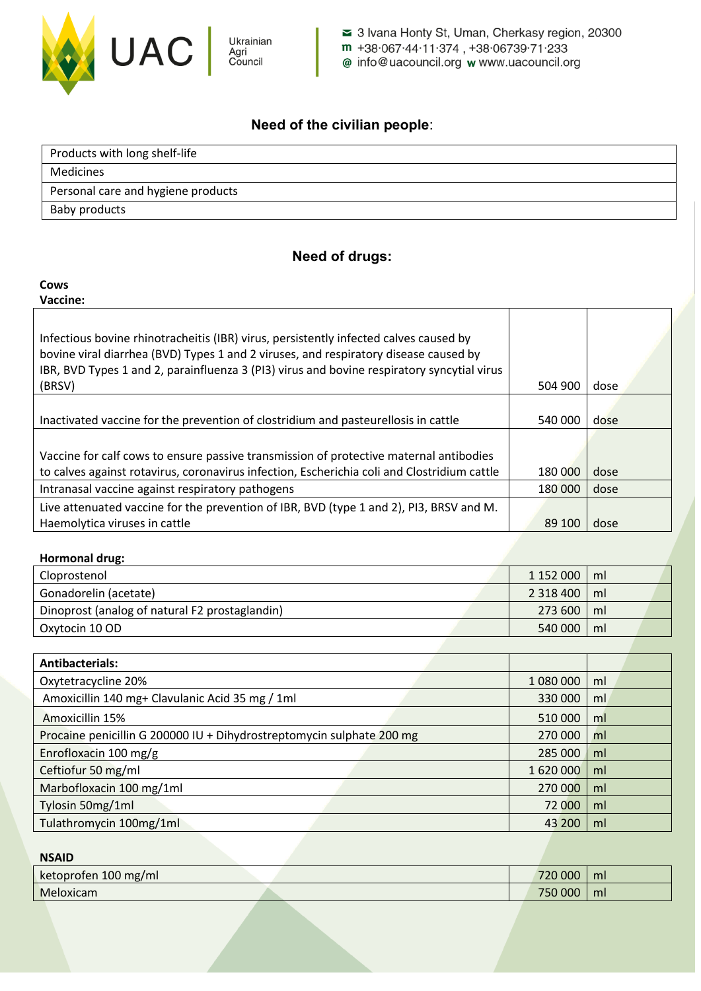

3 Ivana Honty St, Uman, Cherkasy region, 20300 m +38.067.44.11.374, +38.06739.71.233 @ info@uacouncil.org wwww.uacouncil.org

## **Need of the civilian people**:

| Products with long shelf-life      |
|------------------------------------|
| Medicines                          |
| Personal care and hygiene products |
| Baby products                      |

### **Need of drugs:**

#### **Сows**

**Vaccine:**

| Infectious bovine rhinotracheitis (IBR) virus, persistently infected calves caused by<br>bovine viral diarrhea (BVD) Types 1 and 2 viruses, and respiratory disease caused by<br>IBR, BVD Types 1 and 2, parainfluenza 3 (PI3) virus and bovine respiratory syncytial virus |         |      |
|-----------------------------------------------------------------------------------------------------------------------------------------------------------------------------------------------------------------------------------------------------------------------------|---------|------|
| (BRSV)                                                                                                                                                                                                                                                                      | 504 900 | dose |
| Inactivated vaccine for the prevention of clostridium and pasteurellosis in cattle                                                                                                                                                                                          | 540 000 | dose |
| Vaccine for calf cows to ensure passive transmission of protective maternal antibodies                                                                                                                                                                                      |         |      |
| to calves against rotavirus, coronavirus infection, Escherichia coli and Clostridium cattle                                                                                                                                                                                 | 180 000 | dose |
| Intranasal vaccine against respiratory pathogens                                                                                                                                                                                                                            | 180 000 | dose |
| Live attenuated vaccine for the prevention of IBR, BVD (type 1 and 2), PI3, BRSV and M.                                                                                                                                                                                     |         |      |
| Haemolytica viruses in cattle                                                                                                                                                                                                                                               | 89 100  | dose |

#### **Hormonal drug:**

| Cloprostenol                                   | 1 152 000   ml |    |  |
|------------------------------------------------|----------------|----|--|
| Gonadorelin (acetate)                          | $2318400$   ml |    |  |
| Dinoprost (analog of natural F2 prostaglandin) | $273600$   m   |    |  |
| Oxytocin 10 OD                                 | 540 000        | ml |  |

| <b>Antibacterials:</b>                                                |           |    |
|-----------------------------------------------------------------------|-----------|----|
| Oxytetracycline 20%                                                   | 1 080 000 | ml |
| Amoxicillin 140 mg+ Clavulanic Acid 35 mg / 1ml                       | 330 000   | ml |
| Amoxicillin 15%                                                       | 510 000   | ml |
| Procaine penicillin G 200000 IU + Dihydrostreptomycin sulphate 200 mg | 270 000   | ml |
| Enrofloxacin 100 mg/g                                                 | 285 000   | ml |
| Ceftiofur 50 mg/ml                                                    | 1 620 000 | ml |
| Marbofloxacin 100 mg/1ml                                              | 270 000   | ml |
| Tylosin 50mg/1ml                                                      | 72 000    | ml |
| Tulathromycin 100mg/1ml                                               | 43 200    | ml |

# **NSAID** ketoprofen 100 mg/ml **720 000 ml** 720 000 ml 720 000 ml 720 ml 720 ml 720 ml 720 ml 720 ml 720 ml 720 ml 720 ml 720 ml 720 ml 720 ml 720 ml 720 ml 720 ml 720 ml 720 ml 720 ml 720 ml 720 ml 720 ml 720 ml 720 ml 720 ml 720 m Meloxicam 750 000 ml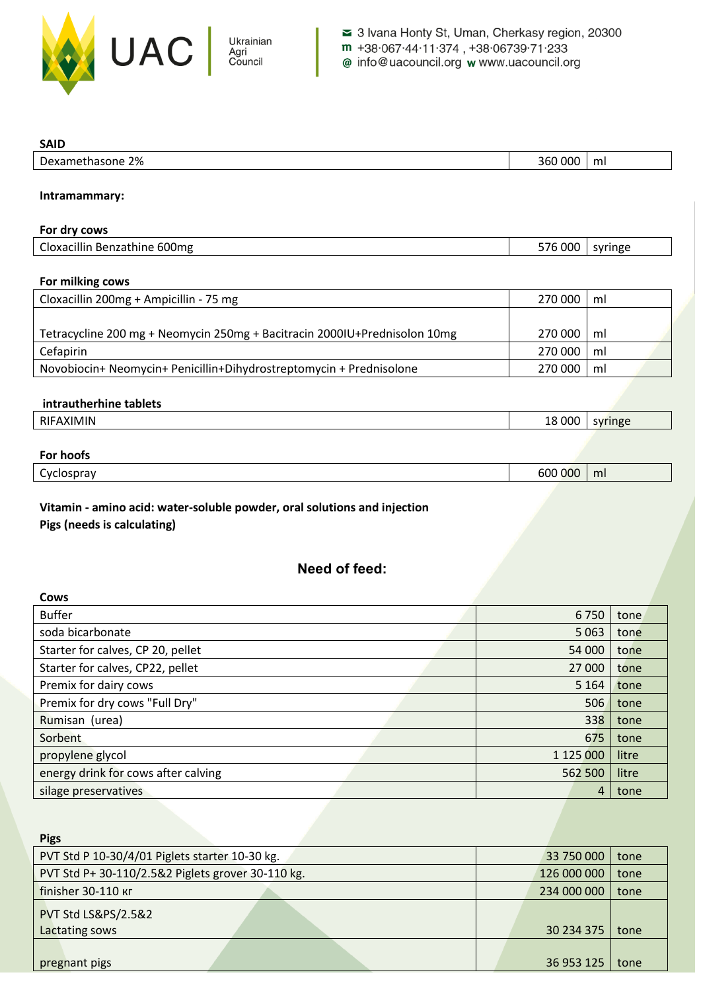

**SAID**

| Dexamethasone 2%                                                          | 360 000 | ml      |  |  |
|---------------------------------------------------------------------------|---------|---------|--|--|
|                                                                           |         |         |  |  |
| Intramammary:                                                             |         |         |  |  |
|                                                                           |         |         |  |  |
| For dry cows                                                              |         |         |  |  |
| Cloxacillin Benzathine 600mg                                              | 576 000 | syringe |  |  |
|                                                                           |         |         |  |  |
| For milking cows                                                          |         |         |  |  |
| Cloxacillin 200mg + Ampicillin - 75 mg                                    | 270 000 | ml      |  |  |
|                                                                           |         |         |  |  |
| Tetracycline 200 mg + Neomycin 250mg + Bacitracin 2000IU+Prednisolon 10mg | 270 000 | ml      |  |  |
| Cefapirin                                                                 | 270 000 | ml      |  |  |
| Novobiocin+ Neomycin+ Penicillin+Dihydrostreptomycin + Prednisolone       | 270 000 | ml      |  |  |
|                                                                           |         |         |  |  |
| intrautherhine tablets                                                    |         |         |  |  |
| RIFAXIMIN                                                                 | 18 000  | syringe |  |  |
|                                                                           |         |         |  |  |
| <b>For hoofs</b>                                                          |         |         |  |  |
| Cyclospray                                                                | 600 000 | ml      |  |  |
|                                                                           |         |         |  |  |
| Vitamin - amino acid: water-soluble powder, oral solutions and injection  |         |         |  |  |
| Pigs (needs is calculating)                                               |         |         |  |  |
|                                                                           |         |         |  |  |

# **Need of feed:**

| Cows                                |           |       |
|-------------------------------------|-----------|-------|
| <b>Buffer</b>                       | 6750      | tone  |
| soda bicarbonate                    | 5 0 63    | tone  |
| Starter for calves, CP 20, pellet   | 54 000    | tone  |
| Starter for calves, CP22, pellet    | 27 000    | tone  |
| Premix for dairy cows               | 5 1 6 4   | tone  |
| Premix for dry cows "Full Dry"      | 506       | tone  |
| Rumisan (urea)                      | 338       | tone  |
| Sorbent                             | 675       | tone  |
| propylene glycol                    | 1 125 000 | litre |
| energy drink for cows after calving | 562 500   | litre |
| silage preservatives                | 4         | tone  |

| <b>Pigs</b>                                       |  |             |      |
|---------------------------------------------------|--|-------------|------|
| PVT Std P 10-30/4/01 Piglets starter 10-30 kg.    |  | 33 750 000  | tone |
| PVT Std P+ 30-110/2.5&2 Piglets grover 30-110 kg. |  | 126 000 000 | tone |
| finisher 30-110 Kr                                |  | 234 000 000 | tone |
| <b>PVT Std LS&amp;PS/2.5&amp;2</b>                |  |             |      |
| Lactating sows                                    |  | 30 234 375  | tone |
|                                                   |  |             |      |
| pregnant pigs                                     |  | 36 953 125  | tone |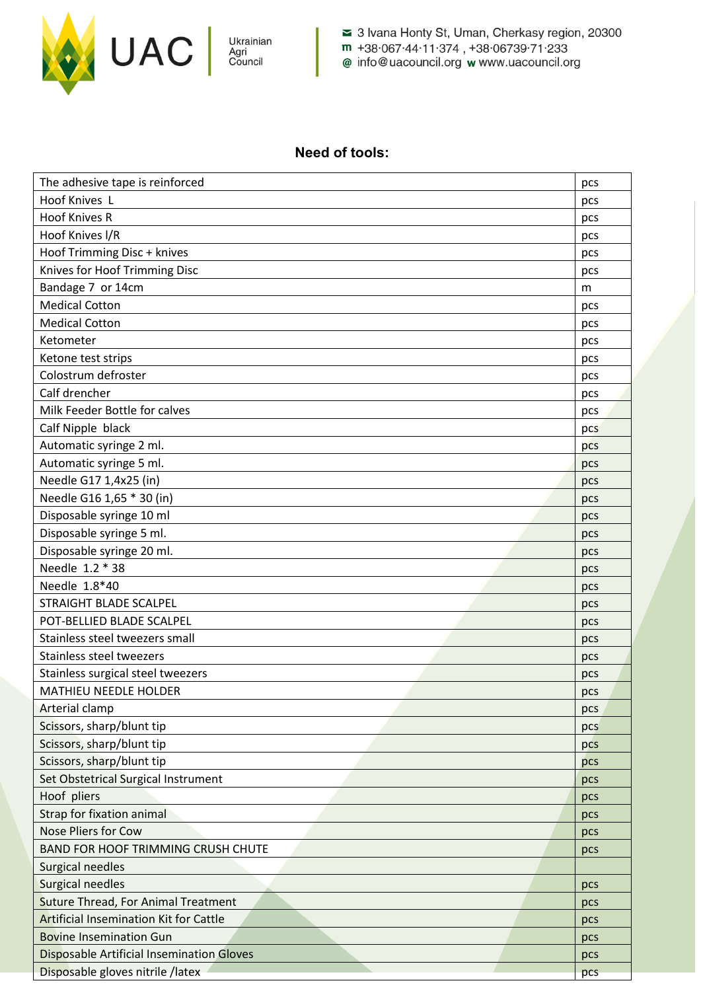

3 Ivana Honty St, Uman, Cherkasy region, 20300 m +38.067.44.11.374, +38.06739.71.233 @ info@uacouncil.org w www.uacouncil.org

### **Need of tools:**

| The adhesive tape is reinforced                  | pcs |
|--------------------------------------------------|-----|
| Hoof Knives L                                    | pcs |
| <b>Hoof Knives R</b>                             | pcs |
| Hoof Knives I/R                                  | pcs |
| Hoof Trimming Disc + knives                      | pcs |
| Knives for Hoof Trimming Disc                    | pcs |
| Bandage 7 or 14cm                                | m   |
| <b>Medical Cotton</b>                            | pcs |
| <b>Medical Cotton</b>                            | pcs |
| Ketometer                                        | pcs |
| Ketone test strips                               | pcs |
| Colostrum defroster                              | pcs |
| Calf drencher                                    | pcs |
| Milk Feeder Bottle for calves                    | pcs |
| Calf Nipple black                                | pcs |
| Automatic syringe 2 ml.                          | pcs |
| Automatic syringe 5 ml.                          | pcs |
| Needle G17 1,4x25 (in)                           | pcs |
| Needle G16 1,65 * 30 (in)                        | pcs |
| Disposable syringe 10 ml                         | pcs |
| Disposable syringe 5 ml.                         | pcs |
| Disposable syringe 20 ml.                        | pcs |
| Needle 1.2 * 38                                  | pcs |
| Needle 1.8*40                                    | pcs |
| STRAIGHT BLADE SCALPEL                           | pcs |
| POT-BELLIED BLADE SCALPEL                        | pcs |
| Stainless steel tweezers small                   | pcs |
| Stainless steel tweezers                         | pcs |
| Stainless surgical steel tweezers                | pcs |
| <b>MATHIEU NEEDLE HOLDER</b>                     | pcs |
| <b>Arterial clamp</b>                            | pcs |
| Scissors, sharp/blunt tip                        | pcs |
| Scissors, sharp/blunt tip                        | pcs |
| Scissors, sharp/blunt tip                        | pcs |
| Set Obstetrical Surgical Instrument              | pcs |
| Hoof pliers                                      | pcs |
| Strap for fixation animal                        | pcs |
| <b>Nose Pliers for Cow</b>                       | pcs |
| <b>BAND FOR HOOF TRIMMING CRUSH CHUTE</b>        | pcs |
| Surgical needles                                 |     |
| <b>Surgical needles</b>                          | pcs |
| <b>Suture Thread, For Animal Treatment</b>       | pcs |
| <b>Artificial Insemination Kit for Cattle</b>    | pcs |
| <b>Bovine Insemination Gun</b>                   | pcs |
| <b>Disposable Artificial Insemination Gloves</b> | pcs |
| Disposable gloves nitrile /latex                 | pcs |